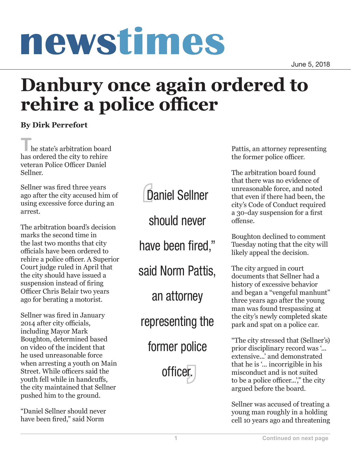## **1 Continued on next page**

June 5, 2018

## newstimes

**rehire a police officer**

**The state's arbitration board** has ordered the city to rehire veteran Police Officer Daniel Sellner.

**By Dirk Perrefort**

Sellner was fired three years ago after the city accused him of using excessive force during an arrest.

The arbitration board's decision marks the second time in the last two months that city officials have been ordered to rehire a police officer. A Superior Court judge ruled in April that the city should have issued a suspension instead of firing Officer Chris Belair two years ago for berating a motorist.

Sellner was fired in January 2014 after city officials, including Mayor Mark Boughton, determined based on video of the incident that he used unreasonable force when arresting a youth on Main Street. While officers said the youth fell while in handcuffs, the city maintained that Sellner pushed him to the ground.

"Daniel Sellner should never have been fired," said Norm



former police

officer.

Pattis, an attorney representing the former police officer.

The arbitration board found that there was no evidence of unreasonable force, and noted that even if there had been, the city's Code of Conduct required a 30-day suspension for a first offense.

Boughton declined to comment Tuesday noting that the city will likely appeal the decision.

The city argued in court documents that Sellner had a history of excessive behavior and began a "vengeful manhunt" three years ago after the young man was found trespassing at the city's newly completed skate park and spat on a police car.

"The city stressed that (Sellner's) prior disciplinary record was '... extensive...' and demonstrated that he is '... incorrigible in his misconduct and is not suited to be a police officer...'," the city argued before the board.

Sellner was accused of treating a young man roughly in a holding cell 10 years ago and threatening

have been fired,"

**Danbury once again ordered to** 

said Norm Pattis,